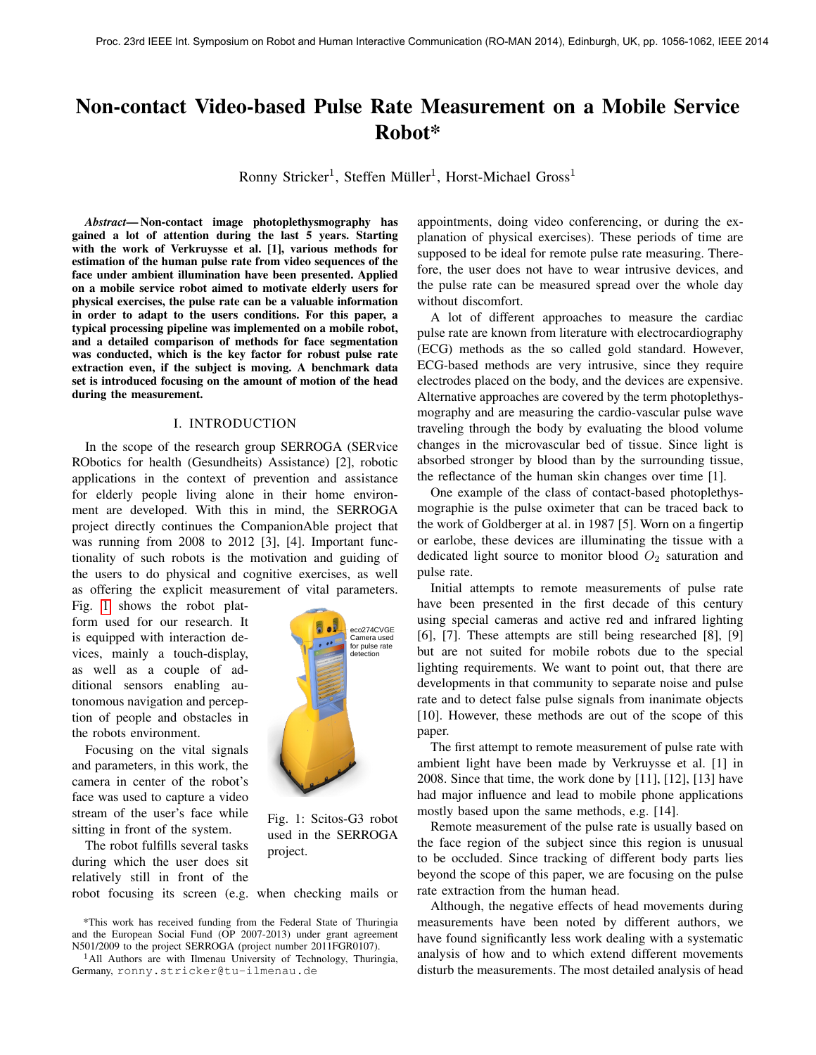# Non-contact Video-based Pulse Rate Measurement on a Mobile Service Robot\*

Ronny Stricker<sup>1</sup>, Steffen Müller<sup>1</sup>, Horst-Michael Gross<sup>1</sup>

*Abstract*— Non-contact image photoplethysmography has gained a lot of attention during the last 5 years. Starting with the work of Verkruysse et al. [1], various methods for estimation of the human pulse rate from video sequences of the face under ambient illumination have been presented. Applied on a mobile service robot aimed to motivate elderly users for physical exercises, the pulse rate can be a valuable information in order to adapt to the users conditions. For this paper, a typical processing pipeline was implemented on a mobile robot, and a detailed comparison of methods for face segmentation was conducted, which is the key factor for robust pulse rate extraction even, if the subject is moving. A benchmark data set is introduced focusing on the amount of motion of the head during the measurement.

## I. INTRODUCTION

In the scope of the research group SERROGA (SERvice RObotics for health (Gesundheits) Assistance) [2], robotic applications in the context of prevention and assistance for elderly people living alone in their home environment are developed. With this in mind, the SERROGA project directly continues the CompanionAble project that was running from 2008 to 2012 [3], [4]. Important functionality of such robots is the motivation and guiding of the users to do physical and cognitive exercises, as well as offering the explicit measurement of vital parameters.

Fig. [1](#page-0-0) shows the robot platform used for our research. It is equipped with interaction devices, mainly a touch-display, as well as a couple of additional sensors enabling autonomous navigation and perception of people and obstacles in the robots environment.

Focusing on the vital signals and parameters, in this work, the camera in center of the robot's face was used to capture a video stream of the user's face while sitting in front of the system.

The robot fulfills several tasks during which the user does sit relatively still in front of the robot focusing its screen (e.g. when checking mails or



<sup>&</sup>lt;sup>1</sup>All Authors are with Ilmenau University of Technology, Thuringia, Germany, ronny.stricker@tu-ilmenau.de

appointments, doing video conferencing, or during the explanation of physical exercises). These periods of time are supposed to be ideal for remote pulse rate measuring. Therefore, the user does not have to wear intrusive devices, and the pulse rate can be measured spread over the whole day without discomfort.

A lot of different approaches to measure the cardiac pulse rate are known from literature with electrocardiography (ECG) methods as the so called gold standard. However, ECG-based methods are very intrusive, since they require electrodes placed on the body, and the devices are expensive. Alternative approaches are covered by the term photoplethysmography and are measuring the cardio-vascular pulse wave traveling through the body by evaluating the blood volume changes in the microvascular bed of tissue. Since light is absorbed stronger by blood than by the surrounding tissue, the reflectance of the human skin changes over time [1].

One example of the class of contact-based photoplethysmographie is the pulse oximeter that can be traced back to the work of Goldberger at al. in 1987 [5]. Worn on a fingertip or earlobe, these devices are illuminating the tissue with a dedicated light source to monitor blood  $O_2$  saturation and pulse rate.

Initial attempts to remote measurements of pulse rate have been presented in the first decade of this century using special cameras and active red and infrared lighting [6], [7]. These attempts are still being researched [8], [9] but are not suited for mobile robots due to the special lighting requirements. We want to point out, that there are developments in that community to separate noise and pulse rate and to detect false pulse signals from inanimate objects [10]. However, these methods are out of the scope of this paper.

The first attempt to remote measurement of pulse rate with ambient light have been made by Verkruysse et al. [1] in 2008. Since that time, the work done by [11], [12], [13] have had major influence and lead to mobile phone applications mostly based upon the same methods, e.g. [14].

Remote measurement of the pulse rate is usually based on the face region of the subject since this region is unusual to be occluded. Since tracking of different body parts lies beyond the scope of this paper, we are focusing on the pulse rate extraction from the human head.

Although, the negative effects of head movements during measurements have been noted by different authors, we have found significantly less work dealing with a systematic analysis of how and to which extend different movements disturb the measurements. The most detailed analysis of head

<span id="page-0-0"></span>

Fig. 1: Scitos-G3 robot used in the SERROGA project.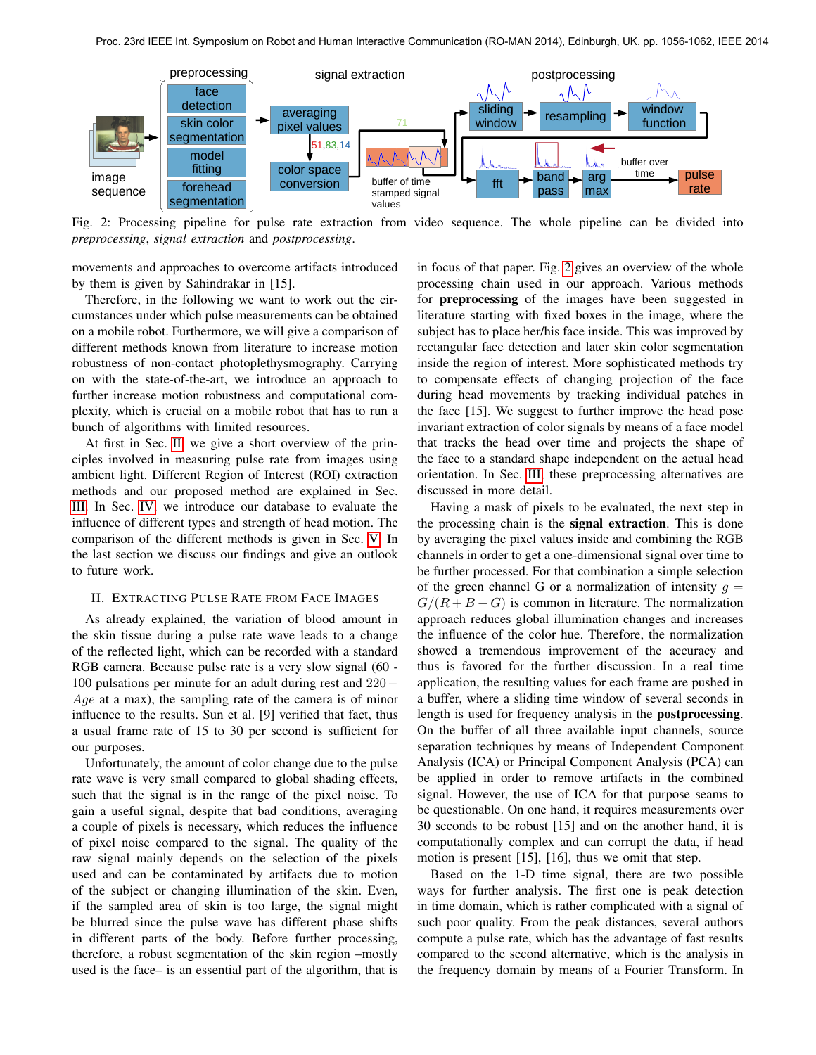<span id="page-1-1"></span>

Fig. 2: Processing pipeline for pulse rate extraction from video sequence. The whole pipeline can be divided into *preprocessing*, *signal extraction* and *postprocessing*.

movements and approaches to overcome artifacts introduced by them is given by Sahindrakar in [15].

Therefore, in the following we want to work out the circumstances under which pulse measurements can be obtained on a mobile robot. Furthermore, we will give a comparison of different methods known from literature to increase motion robustness of non-contact photoplethysmography. Carrying on with the state-of-the-art, we introduce an approach to further increase motion robustness and computational complexity, which is crucial on a mobile robot that has to run a bunch of algorithms with limited resources.

At first in Sec. [II,](#page-1-0) we give a short overview of the principles involved in measuring pulse rate from images using ambient light. Different Region of Interest (ROI) extraction methods and our proposed method are explained in Sec. [III.](#page-2-0) In Sec. [IV,](#page-3-0) we introduce our database to evaluate the influence of different types and strength of head motion. The comparison of the different methods is given in Sec. [V.](#page-4-0) In the last section we discuss our findings and give an outlook to future work.

#### <span id="page-1-0"></span>II. EXTRACTING PULSE RATE FROM FACE IMAGES

As already explained, the variation of blood amount in the skin tissue during a pulse rate wave leads to a change of the reflected light, which can be recorded with a standard RGB camera. Because pulse rate is a very slow signal (60 - 100 pulsations per minute for an adult during rest and 220− Age at a max), the sampling rate of the camera is of minor influence to the results. Sun et al. [9] verified that fact, thus a usual frame rate of 15 to 30 per second is sufficient for our purposes.

Unfortunately, the amount of color change due to the pulse rate wave is very small compared to global shading effects, such that the signal is in the range of the pixel noise. To gain a useful signal, despite that bad conditions, averaging a couple of pixels is necessary, which reduces the influence of pixel noise compared to the signal. The quality of the raw signal mainly depends on the selection of the pixels used and can be contaminated by artifacts due to motion of the subject or changing illumination of the skin. Even, if the sampled area of skin is too large, the signal might be blurred since the pulse wave has different phase shifts in different parts of the body. Before further processing, therefore, a robust segmentation of the skin region –mostly used is the face– is an essential part of the algorithm, that is

in focus of that paper. Fig. [2](#page-1-1) gives an overview of the whole processing chain used in our approach. Various methods for preprocessing of the images have been suggested in literature starting with fixed boxes in the image, where the subject has to place her/his face inside. This was improved by rectangular face detection and later skin color segmentation inside the region of interest. More sophisticated methods try to compensate effects of changing projection of the face during head movements by tracking individual patches in the face [15]. We suggest to further improve the head pose invariant extraction of color signals by means of a face model that tracks the head over time and projects the shape of the face to a standard shape independent on the actual head orientation. In Sec. [III,](#page-2-0) these preprocessing alternatives are discussed in more detail.

Having a mask of pixels to be evaluated, the next step in the processing chain is the signal extraction. This is done by averaging the pixel values inside and combining the RGB channels in order to get a one-dimensional signal over time to be further processed. For that combination a simple selection of the green channel G or a normalization of intensity  $q =$  $G/(R+B+G)$  is common in literature. The normalization approach reduces global illumination changes and increases the influence of the color hue. Therefore, the normalization showed a tremendous improvement of the accuracy and thus is favored for the further discussion. In a real time application, the resulting values for each frame are pushed in a buffer, where a sliding time window of several seconds in length is used for frequency analysis in the postprocessing. On the buffer of all three available input channels, source separation techniques by means of Independent Component Analysis (ICA) or Principal Component Analysis (PCA) can be applied in order to remove artifacts in the combined signal. However, the use of ICA for that purpose seams to be questionable. On one hand, it requires measurements over 30 seconds to be robust [15] and on the another hand, it is computationally complex and can corrupt the data, if head motion is present [15], [16], thus we omit that step.

Based on the 1-D time signal, there are two possible ways for further analysis. The first one is peak detection in time domain, which is rather complicated with a signal of such poor quality. From the peak distances, several authors compute a pulse rate, which has the advantage of fast results compared to the second alternative, which is the analysis in the frequency domain by means of a Fourier Transform. In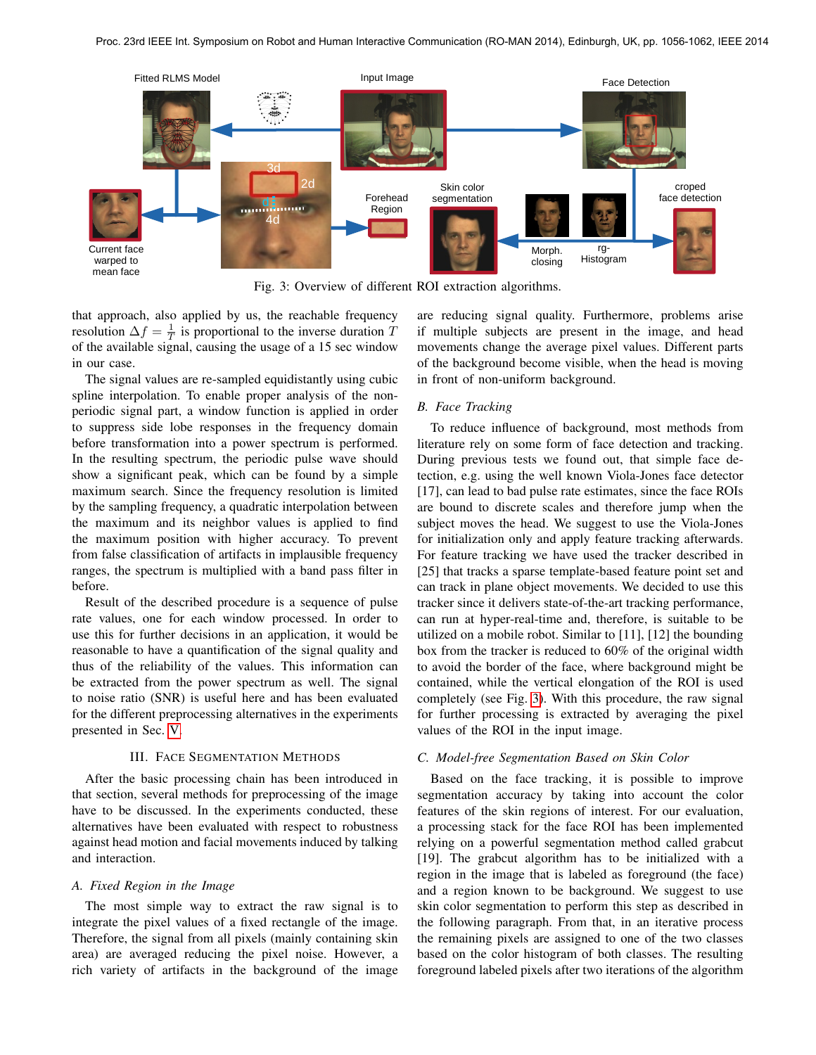<span id="page-2-1"></span>

Fig. 3: Overview of different ROI extraction algorithms.

that approach, also applied by us, the reachable frequency resolution  $\Delta f = \frac{1}{T}$  is proportional to the inverse duration T of the available signal, causing the usage of a 15 sec window in our case.

The signal values are re-sampled equidistantly using cubic spline interpolation. To enable proper analysis of the nonperiodic signal part, a window function is applied in order to suppress side lobe responses in the frequency domain before transformation into a power spectrum is performed. In the resulting spectrum, the periodic pulse wave should show a significant peak, which can be found by a simple maximum search. Since the frequency resolution is limited by the sampling frequency, a quadratic interpolation between the maximum and its neighbor values is applied to find the maximum position with higher accuracy. To prevent from false classification of artifacts in implausible frequency ranges, the spectrum is multiplied with a band pass filter in before.

Result of the described procedure is a sequence of pulse rate values, one for each window processed. In order to use this for further decisions in an application, it would be reasonable to have a quantification of the signal quality and thus of the reliability of the values. This information can be extracted from the power spectrum as well. The signal to noise ratio (SNR) is useful here and has been evaluated for the different preprocessing alternatives in the experiments presented in Sec. [V.](#page-4-0)

# III. FACE SEGMENTATION METHODS

<span id="page-2-0"></span>After the basic processing chain has been introduced in that section, several methods for preprocessing of the image have to be discussed. In the experiments conducted, these alternatives have been evaluated with respect to robustness against head motion and facial movements induced by talking and interaction.

# *A. Fixed Region in the Image*

The most simple way to extract the raw signal is to integrate the pixel values of a fixed rectangle of the image. Therefore, the signal from all pixels (mainly containing skin area) are averaged reducing the pixel noise. However, a rich variety of artifacts in the background of the image

are reducing signal quality. Furthermore, problems arise if multiple subjects are present in the image, and head movements change the average pixel values. Different parts of the background become visible, when the head is moving in front of non-uniform background.

## *B. Face Tracking*

To reduce influence of background, most methods from literature rely on some form of face detection and tracking. During previous tests we found out, that simple face detection, e.g. using the well known Viola-Jones face detector [17], can lead to bad pulse rate estimates, since the face ROIs are bound to discrete scales and therefore jump when the subject moves the head. We suggest to use the Viola-Jones for initialization only and apply feature tracking afterwards. For feature tracking we have used the tracker described in [25] that tracks a sparse template-based feature point set and can track in plane object movements. We decided to use this tracker since it delivers state-of-the-art tracking performance, can run at hyper-real-time and, therefore, is suitable to be utilized on a mobile robot. Similar to [11], [12] the bounding box from the tracker is reduced to 60% of the original width to avoid the border of the face, where background might be contained, while the vertical elongation of the ROI is used completely (see Fig. [3\)](#page-2-1). With this procedure, the raw signal for further processing is extracted by averaging the pixel values of the ROI in the input image.

#### *C. Model-free Segmentation Based on Skin Color*

Based on the face tracking, it is possible to improve segmentation accuracy by taking into account the color features of the skin regions of interest. For our evaluation, a processing stack for the face ROI has been implemented relying on a powerful segmentation method called grabcut [19]. The grabcut algorithm has to be initialized with a region in the image that is labeled as foreground (the face) and a region known to be background. We suggest to use skin color segmentation to perform this step as described in the following paragraph. From that, in an iterative process the remaining pixels are assigned to one of the two classes based on the color histogram of both classes. The resulting foreground labeled pixels after two iterations of the algorithm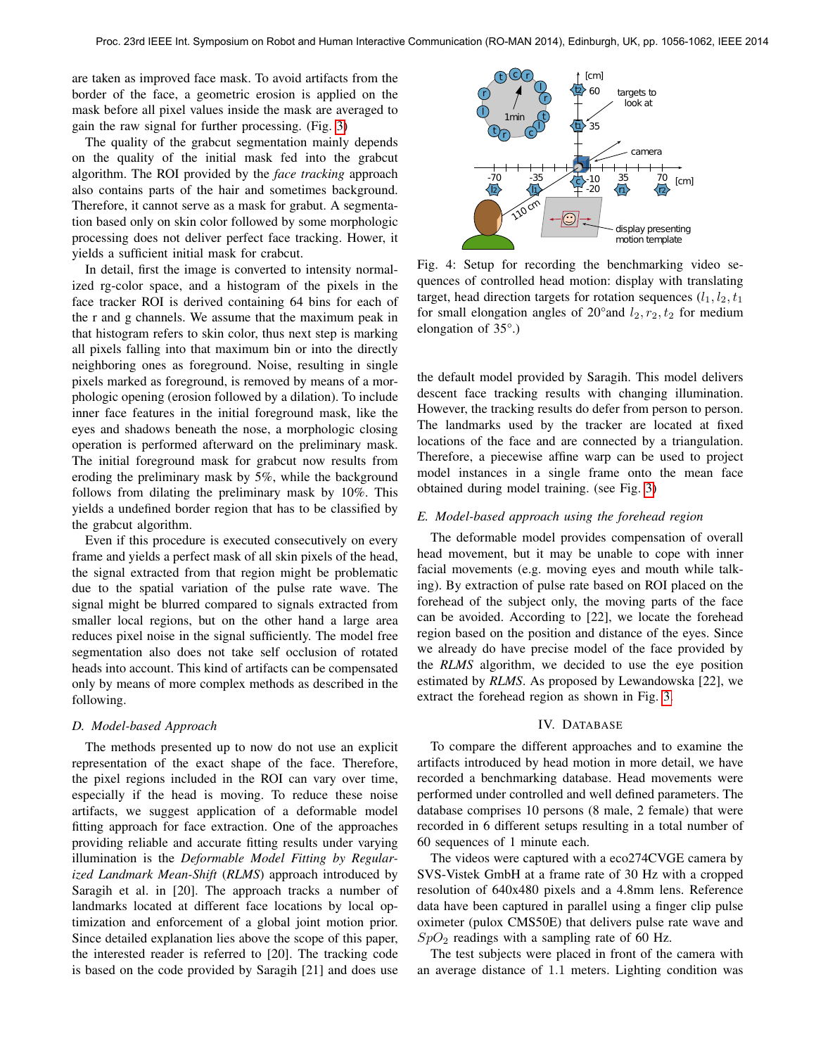are taken as improved face mask. To avoid artifacts from the border of the face, a geometric erosion is applied on the mask before all pixel values inside the mask are averaged to gain the raw signal for further processing. (Fig. [3\)](#page-2-1)

The quality of the grabcut segmentation mainly depends on the quality of the initial mask fed into the grabcut algorithm. The ROI provided by the *face tracking* approach also contains parts of the hair and sometimes background. Therefore, it cannot serve as a mask for grabut. A segmentation based only on skin color followed by some morphologic processing does not deliver perfect face tracking. Hower, it yields a sufficient initial mask for crabcut.

In detail, first the image is converted to intensity normalized rg-color space, and a histogram of the pixels in the face tracker ROI is derived containing 64 bins for each of the r and g channels. We assume that the maximum peak in that histogram refers to skin color, thus next step is marking all pixels falling into that maximum bin or into the directly neighboring ones as foreground. Noise, resulting in single pixels marked as foreground, is removed by means of a morphologic opening (erosion followed by a dilation). To include inner face features in the initial foreground mask, like the eyes and shadows beneath the nose, a morphologic closing operation is performed afterward on the preliminary mask. The initial foreground mask for grabcut now results from eroding the preliminary mask by 5%, while the background follows from dilating the preliminary mask by 10%. This yields a undefined border region that has to be classified by the grabcut algorithm.

Even if this procedure is executed consecutively on every frame and yields a perfect mask of all skin pixels of the head, the signal extracted from that region might be problematic due to the spatial variation of the pulse rate wave. The signal might be blurred compared to signals extracted from smaller local regions, but on the other hand a large area reduces pixel noise in the signal sufficiently. The model free segmentation also does not take self occlusion of rotated heads into account. This kind of artifacts can be compensated only by means of more complex methods as described in the following.

## *D. Model-based Approach*

The methods presented up to now do not use an explicit representation of the exact shape of the face. Therefore, the pixel regions included in the ROI can vary over time, especially if the head is moving. To reduce these noise artifacts, we suggest application of a deformable model fitting approach for face extraction. One of the approaches providing reliable and accurate fitting results under varying illumination is the *Deformable Model Fitting by Regularized Landmark Mean-Shift* (*RLMS*) approach introduced by Saragih et al. in [20]. The approach tracks a number of landmarks located at different face locations by local optimization and enforcement of a global joint motion prior. Since detailed explanation lies above the scope of this paper, the interested reader is referred to [20]. The tracking code is based on the code provided by Saragih [21] and does use

<span id="page-3-1"></span>

Fig. 4: Setup for recording the benchmarking video sequences of controlled head motion: display with translating target, head direction targets for rotation sequences  $(l_1, l_2, t_1)$ for small elongation angles of 20° and  $l_2, r_2, t_2$  for medium elongation of 35°.)

the default model provided by Saragih. This model delivers descent face tracking results with changing illumination. However, the tracking results do defer from person to person. The landmarks used by the tracker are located at fixed locations of the face and are connected by a triangulation. Therefore, a piecewise affine warp can be used to project model instances in a single frame onto the mean face obtained during model training. (see Fig. [3\)](#page-2-1)

#### *E. Model-based approach using the forehead region*

The deformable model provides compensation of overall head movement, but it may be unable to cope with inner facial movements (e.g. moving eyes and mouth while talking). By extraction of pulse rate based on ROI placed on the forehead of the subject only, the moving parts of the face can be avoided. According to [22], we locate the forehead region based on the position and distance of the eyes. Since we already do have precise model of the face provided by the *RLMS* algorithm, we decided to use the eye position estimated by *RLMS*. As proposed by Lewandowska [22], we extract the forehead region as shown in Fig. [3.](#page-2-1)

## IV. DATABASE

<span id="page-3-0"></span>To compare the different approaches and to examine the artifacts introduced by head motion in more detail, we have recorded a benchmarking database. Head movements were performed under controlled and well defined parameters. The database comprises 10 persons (8 male, 2 female) that were recorded in 6 different setups resulting in a total number of 60 sequences of 1 minute each.

The videos were captured with a eco274CVGE camera by SVS-Vistek GmbH at a frame rate of 30 Hz with a cropped resolution of 640x480 pixels and a 4.8mm lens. Reference data have been captured in parallel using a finger clip pulse oximeter (pulox CMS50E) that delivers pulse rate wave and  $SpO<sub>2</sub>$  readings with a sampling rate of 60 Hz.

The test subjects were placed in front of the camera with an average distance of 1.1 meters. Lighting condition was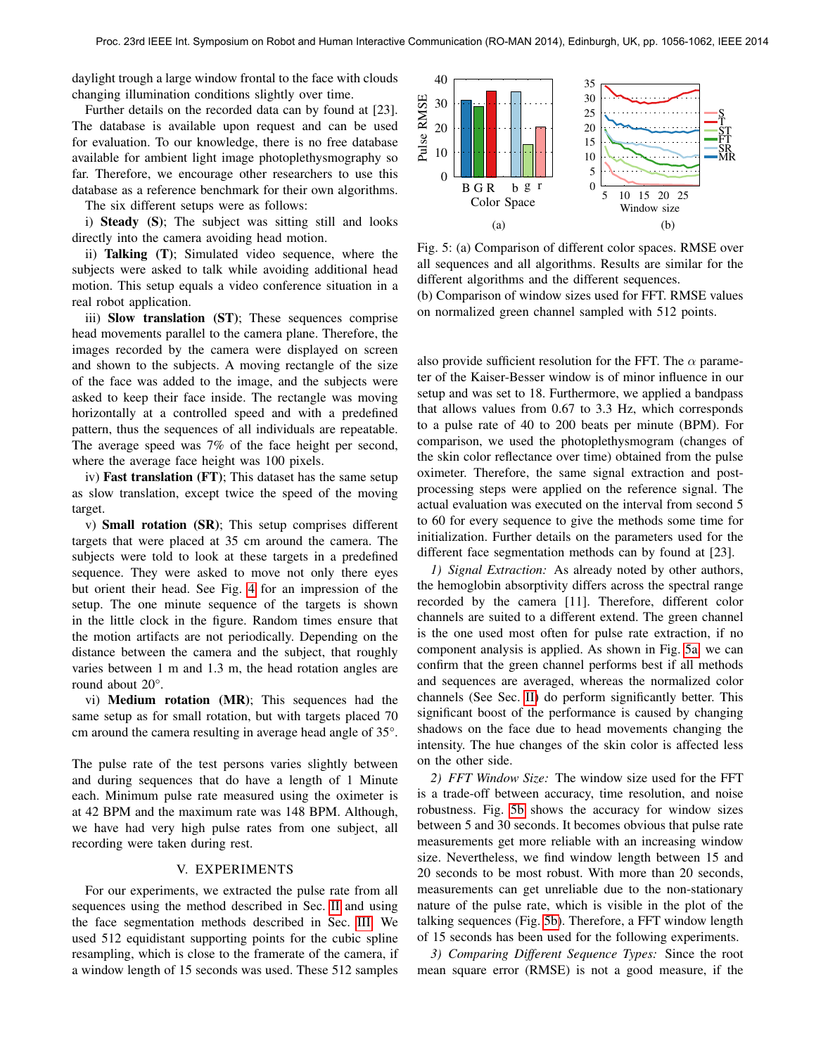daylight trough a large window frontal to the face with clouds changing illumination conditions slightly over time.

Further details on the recorded data can by found at [23]. The database is available upon request and can be used for evaluation. To our knowledge, there is no free database available for ambient light image photoplethysmography so far. Therefore, we encourage other researchers to use this database as a reference benchmark for their own algorithms.

The six different setups were as follows:

i) Steady (S); The subject was sitting still and looks directly into the camera avoiding head motion.

ii) Talking (T); Simulated video sequence, where the subjects were asked to talk while avoiding additional head motion. This setup equals a video conference situation in a real robot application.

iii) Slow translation (ST); These sequences comprise head movements parallel to the camera plane. Therefore, the images recorded by the camera were displayed on screen and shown to the subjects. A moving rectangle of the size of the face was added to the image, and the subjects were asked to keep their face inside. The rectangle was moving horizontally at a controlled speed and with a predefined pattern, thus the sequences of all individuals are repeatable. The average speed was 7% of the face height per second, where the average face height was 100 pixels.

iv) Fast translation (FT); This dataset has the same setup as slow translation, except twice the speed of the moving target.

v) Small rotation (SR); This setup comprises different targets that were placed at 35 cm around the camera. The subjects were told to look at these targets in a predefined sequence. They were asked to move not only there eyes but orient their head. See Fig. [4](#page-3-1) for an impression of the setup. The one minute sequence of the targets is shown in the little clock in the figure. Random times ensure that the motion artifacts are not periodically. Depending on the distance between the camera and the subject, that roughly varies between 1 m and 1.3 m, the head rotation angles are round about 20°.

vi) Medium rotation (MR); This sequences had the same setup as for small rotation, but with targets placed 70 cm around the camera resulting in average head angle of 35°.

The pulse rate of the test persons varies slightly between and during sequences that do have a length of 1 Minute each. Minimum pulse rate measured using the oximeter is at 42 BPM and the maximum rate was 148 BPM. Although, we have had very high pulse rates from one subject, all recording were taken during rest.

# V. EXPERIMENTS

<span id="page-4-0"></span>For our experiments, we extracted the pulse rate from all sequences using the method described in Sec. [II](#page-1-0) and using the face segmentation methods described in Sec. [III.](#page-2-0) We used 512 equidistant supporting points for the cubic spline resampling, which is close to the framerate of the camera, if a window length of 15 seconds was used. These 512 samples

<span id="page-4-1"></span>

Fig. 5: (a) Comparison of different color spaces. RMSE over all sequences and all algorithms. Results are similar for the different algorithms and the different sequences.

(b) Comparison of window sizes used for FFT. RMSE values on normalized green channel sampled with 512 points.

also provide sufficient resolution for the FFT. The  $\alpha$  parameter of the Kaiser-Besser window is of minor influence in our setup and was set to 18. Furthermore, we applied a bandpass that allows values from 0.67 to 3.3 Hz, which corresponds to a pulse rate of 40 to 200 beats per minute (BPM). For comparison, we used the photoplethysmogram (changes of the skin color reflectance over time) obtained from the pulse oximeter. Therefore, the same signal extraction and postprocessing steps were applied on the reference signal. The actual evaluation was executed on the interval from second 5 to 60 for every sequence to give the methods some time for initialization. Further details on the parameters used for the different face segmentation methods can by found at [23].

*1) Signal Extraction:* As already noted by other authors, the hemoglobin absorptivity differs across the spectral range recorded by the camera [11]. Therefore, different color channels are suited to a different extend. The green channel is the one used most often for pulse rate extraction, if no component analysis is applied. As shown in Fig. [5a,](#page-4-1) we can confirm that the green channel performs best if all methods and sequences are averaged, whereas the normalized color channels (See Sec. [II\)](#page-1-0) do perform significantly better. This significant boost of the performance is caused by changing shadows on the face due to head movements changing the intensity. The hue changes of the skin color is affected less on the other side.

*2) FFT Window Size:* The window size used for the FFT is a trade-off between accuracy, time resolution, and noise robustness. Fig. [5b](#page-4-1) shows the accuracy for window sizes between 5 and 30 seconds. It becomes obvious that pulse rate measurements get more reliable with an increasing window size. Nevertheless, we find window length between 15 and 20 seconds to be most robust. With more than 20 seconds, measurements can get unreliable due to the non-stationary nature of the pulse rate, which is visible in the plot of the talking sequences (Fig. [5b\)](#page-4-1). Therefore, a FFT window length of 15 seconds has been used for the following experiments.

*3) Comparing Different Sequence Types:* Since the root mean square error (RMSE) is not a good measure, if the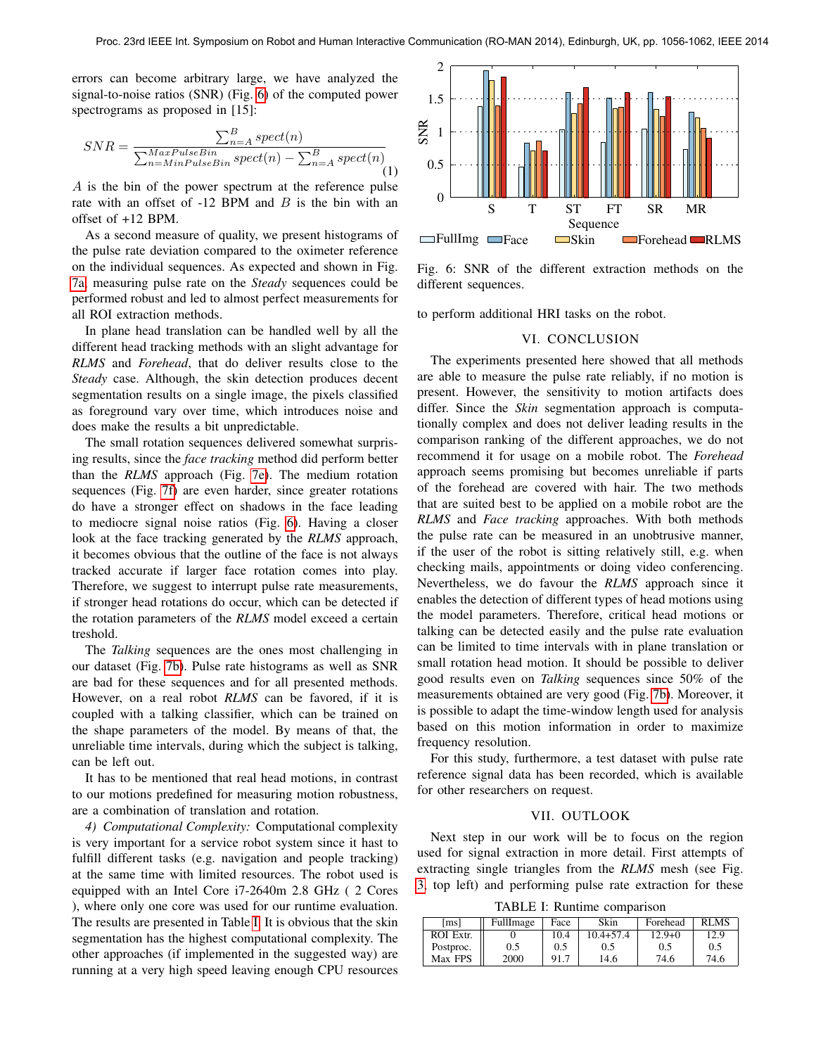errors can become arbitrary large, we have analyzed the signal-to-noise ratios (SNR) (Fig. [6\)](#page-5-0) of the computed power spectrograms as proposed in [15]:

$$
SNR = \frac{\sum_{n=A}^{B} spect(n)}{\sum_{n=MinPulseBin}^{MaxPulseBin}spect(n) - \sum_{n=A}^{B}spect(n) - \sum_{n=A}^{B}}(1)
$$

A is the bin of the power spectrum at the reference pulse rate with an offset of  $-12$  BPM and  $B$  is the bin with an offset of +12 BPM.

As a second measure of quality, we present histograms of the pulse rate deviation compared to the oximeter reference on the individual sequences. As expected and shown in Fig. [7a,](#page-6-0) measuring pulse rate on the *Steady* sequences could be performed robust and led to almost perfect measurements for all ROI extraction methods.

In plane head translation can be handled well by all the different head tracking methods with an slight advantage for *RLMS* and *Forehead*, that do deliver results close to the *Steady* case. Although, the skin detection produces decent segmentation results on a single image, the pixels classified as foreground vary over time, which introduces noise and does make the results a bit unpredictable.

The small rotation sequences delivered somewhat surprising results, since the *face tracking* method did perform better than the *RLMS* approach (Fig. [7e\)](#page-6-0). The medium rotation sequences (Fig. [7f\)](#page-6-0) are even harder, since greater rotations do have a stronger effect on shadows in the face leading to mediocre signal noise ratios (Fig. [6\)](#page-5-0). Having a closer look at the face tracking generated by the *RLMS* approach, it becomes obvious that the outline of the face is not always tracked accurate if larger face rotation comes into play. Therefore, we suggest to interrupt pulse rate measurements, if stronger head rotations do occur, which can be detected if the rotation parameters of the *RLMS* model exceed a certain treshold.

The *Talking* sequences are the ones most challenging in our dataset (Fig. [7b\)](#page-6-0). Pulse rate histograms as well as SNR are bad for these sequences and for all presented methods. However, on a real robot *RLMS* can be favored, if it is coupled with a talking classifier, which can be trained on the shape parameters of the model. By means of that, the unreliable time intervals, during which the subject is talking, can be left out.

It has to be mentioned that real head motions, in contrast to our motions predefined for measuring motion robustness, are a combination of translation and rotation.

*4) Computational Complexity:* Computational complexity is very important for a service robot system since it hast to fulfill different tasks (e.g. navigation and people tracking) at the same time with limited resources. The robot used is equipped with an Intel Core i7-2640m 2.8 GHz ( 2 Cores ), where only one core was used for our runtime evaluation. The results are presented in Table [I.](#page-5-1) It is obvious that the skin segmentation has the highest computational complexity. The other approaches (if implemented in the suggested way) are running at a very high speed leaving enough CPU resources

<span id="page-5-0"></span>

Fig. 6: SNR of the different extraction methods on the different sequences.

to perform additional HRI tasks on the robot.

## VI. CONCLUSION

The experiments presented here showed that all methods are able to measure the pulse rate reliably, if no motion is present. However, the sensitivity to motion artifacts does differ. Since the *Skin* segmentation approach is computationally complex and does not deliver leading results in the comparison ranking of the different approaches, we do not recommend it for usage on a mobile robot. The *Forehead* approach seems promising but becomes unreliable if parts of the forehead are covered with hair. The two methods that are suited best to be applied on a mobile robot are the *RLMS* and *Face tracking* approaches. With both methods the pulse rate can be measured in an unobtrusive manner, if the user of the robot is sitting relatively still, e.g. when checking mails, appointments or doing video conferencing. Nevertheless, we do favour the *RLMS* approach since it enables the detection of different types of head motions using the model parameters. Therefore, critical head motions or talking can be detected easily and the pulse rate evaluation can be limited to time intervals with in plane translation or small rotation head motion. It should be possible to deliver good results even on *Talking* sequences since 50% of the measurements obtained are very good (Fig. [7b\)](#page-6-0). Moreover, it is possible to adapt the time-window length used for analysis based on this motion information in order to maximize frequency resolution.

For this study, furthermore, a test dataset with pulse rate reference signal data has been recorded, which is available for other researchers on request.

#### VII. OUTLOOK

Next step in our work will be to focus on the region used for signal extraction in more detail. First attempts of extracting single triangles from the *RLMS* mesh (see Fig. [3,](#page-2-1) top left) and performing pulse rate extraction for these

TABLE I: Runtime comparison

<span id="page-5-1"></span>

| [ms]      | FullImage | Face | Skin          | Forehead | <b>RLMS</b> |
|-----------|-----------|------|---------------|----------|-------------|
| ROI Extr. |           | 10.4 | $10.4 + 57.4$ | $12.9+0$ | 12.9        |
| Postproc. | 0.5       | 0.5  | 0.5           | 0.5      | 0.5         |
| Max FPS   | 2000      | 91.7 | 14.6          | 74.6     | 74.6        |